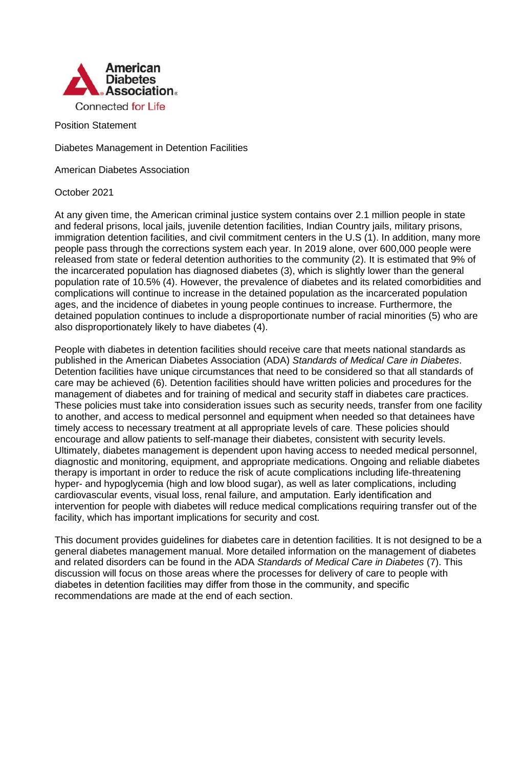

Position Statement

Diabetes Management in Detention Facilities

American Diabetes Association

October 2021

At any given time, the American criminal justice system contains over 2.1 million people in state and federal prisons, local jails, juvenile detention facilities, Indian Country jails, military prisons, immigration detention facilities, and civil commitment centers in the U.S (1). In addition, many more people pass through the corrections system each year. In 2019 alone, over 600,000 people were released from state or federal detention authorities to the community (2). It is estimated that 9% of the incarcerated population has diagnosed diabetes (3), which is slightly lower than the general population rate of 10.5% (4). However, the prevalence of diabetes and its related comorbidities and complications will continue to increase in the detained population as the incarcerated population ages, and the incidence of diabetes in young people continues to increase. Furthermore, the detained population continues to include a disproportionate number of racial minorities (5) who are also disproportionately likely to have diabetes (4).

People with diabetes in detention facilities should receive care that meets national standards as published in the American Diabetes Association (ADA) *Standards of Medical Care in Diabetes*. Detention facilities have unique circumstances that need to be considered so that all standards of care may be achieved (6). Detention facilities should have written policies and procedures for the management of diabetes and for training of medical and security staff in diabetes care practices. These policies must take into consideration issues such as security needs, transfer from one facility to another, and access to medical personnel and equipment when needed so that detainees have timely access to necessary treatment at all appropriate levels of care. These policies should encourage and allow patients to self-manage their diabetes, consistent with security levels. Ultimately, diabetes management is dependent upon having access to needed medical personnel, diagnostic and monitoring, equipment, and appropriate medications. Ongoing and reliable diabetes therapy is important in order to reduce the risk of acute complications including life-threatening hyper- and hypoglycemia (high and low blood sugar), as well as later complications, including cardiovascular events, visual loss, renal failure, and amputation. Early identification and intervention for people with diabetes will reduce medical complications requiring transfer out of the facility, which has important implications for security and cost.

This document provides guidelines for diabetes care in detention facilities. It is not designed to be a general diabetes management manual. More detailed information on the management of diabetes and related disorders can be found in the ADA *Standards of Medical Care in Diabetes* (7). This discussion will focus on those areas where the processes for delivery of care to people with diabetes in detention facilities may differ from those in the community, and specific recommendations are made at the end of each section.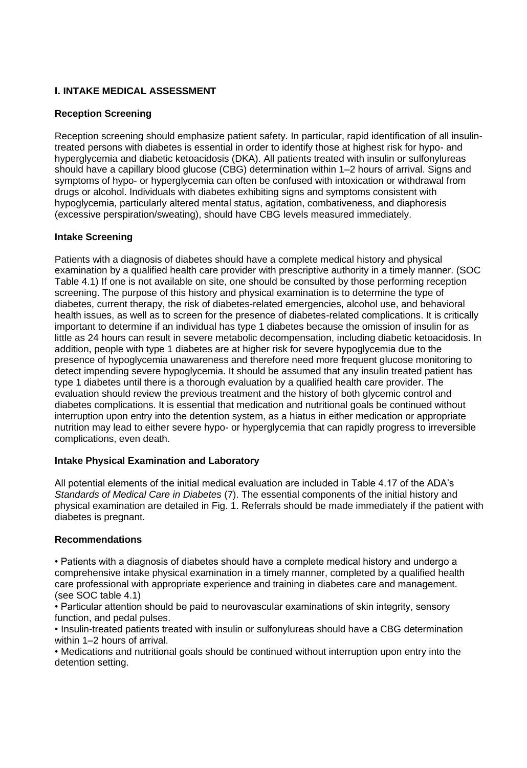## **I. INTAKE MEDICAL ASSESSMENT**

### **Reception Screening**

Reception screening should emphasize patient safety. In particular, rapid identification of all insulintreated persons with diabetes is essential in order to identify those at highest risk for hypo- and hyperglycemia and diabetic ketoacidosis (DKA). All patients treated with insulin or sulfonylureas should have a capillary blood glucose (CBG) determination within 1–2 hours of arrival. Signs and symptoms of hypo- or hyperglycemia can often be confused with intoxication or withdrawal from drugs or alcohol. Individuals with diabetes exhibiting signs and symptoms consistent with hypoglycemia, particularly altered mental status, agitation, combativeness, and diaphoresis (excessive perspiration/sweating), should have CBG levels measured immediately.

#### **Intake Screening**

Patients with a diagnosis of diabetes should have a complete medical history and physical examination by a qualified health care provider with prescriptive authority in a timely manner. (SOC Table 4.1) If one is not available on site, one should be consulted by those performing reception screening. The purpose of this history and physical examination is to determine the type of diabetes, current therapy, the risk of diabetes-related emergencies, alcohol use, and behavioral health issues, as well as to screen for the presence of diabetes-related complications. It is critically important to determine if an individual has type 1 diabetes because the omission of insulin for as little as 24 hours can result in severe metabolic decompensation, including diabetic ketoacidosis. In addition, people with type 1 diabetes are at higher risk for severe hypoglycemia due to the presence of hypoglycemia unawareness and therefore need more frequent glucose monitoring to detect impending severe hypoglycemia. It should be assumed that any insulin treated patient has type 1 diabetes until there is a thorough evaluation by a qualified health care provider. The evaluation should review the previous treatment and the history of both glycemic control and diabetes complications. It is essential that medication and nutritional goals be continued without interruption upon entry into the detention system, as a hiatus in either medication or appropriate nutrition may lead to either severe hypo- or hyperglycemia that can rapidly progress to irreversible complications, even death.

## **Intake Physical Examination and Laboratory**

All potential elements of the initial medical evaluation are included in Table 4.17 of the ADA's *Standards of Medical Care in Diabetes* (7). The essential components of the initial history and physical examination are detailed in Fig. 1. Referrals should be made immediately if the patient with diabetes is pregnant.

#### **Recommendations**

• Patients with a diagnosis of diabetes should have a complete medical history and undergo a comprehensive intake physical examination in a timely manner, completed by a qualified health care professional with appropriate experience and training in diabetes care and management. (see SOC table 4.1)

• Particular attention should be paid to neurovascular examinations of skin integrity, sensory function, and pedal pulses.

• Insulin-treated patients treated with insulin or sulfonylureas should have a CBG determination within 1–2 hours of arrival.

• Medications and nutritional goals should be continued without interruption upon entry into the detention setting.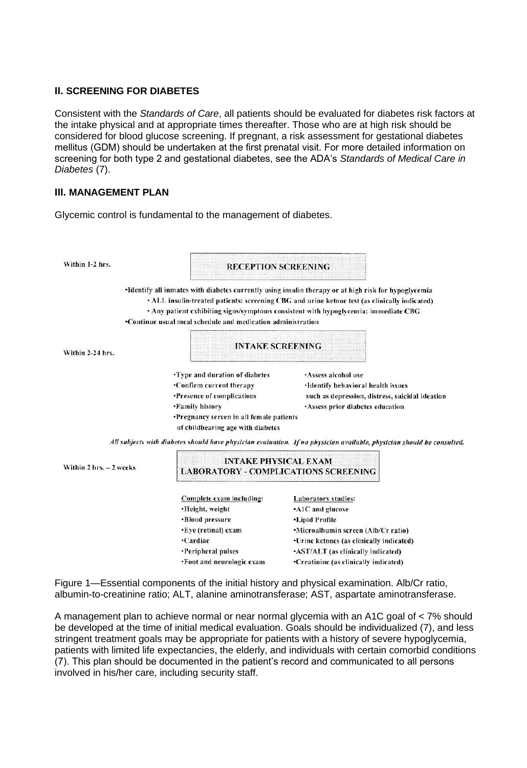## **II. SCREENING FOR DIABETES**

Consistent with the *Standards of Care*, all patients should be evaluated for diabetes risk factors at the intake physical and at appropriate times thereafter. Those who are at high risk should be considered for blood glucose screening. If pregnant, a risk assessment for gestational diabetes mellitus (GDM) should be undertaken at the first prenatal visit. For more detailed information on screening for both type 2 and gestational diabetes, see the ADA's *Standards of Medical Care in Diabetes* (7).

## **III. MANAGEMENT PLAN**

Glycemic control is fundamental to the management of diabetes.



Figure 1—Essential components of the initial history and physical examination. Alb/Cr ratio, albumin-to-creatinine ratio; ALT, alanine aminotransferase; AST, aspartate aminotransferase.

•Creatinine (as clinically indicated)

•Foot and neurologic exam

A management plan to achieve normal or near normal glycemia with an A1C goal of < 7% should be developed at the time of initial medical evaluation. Goals should be individualized (7), and less stringent treatment goals may be appropriate for patients with a history of severe hypoglycemia, patients with limited life expectancies, the elderly, and individuals with certain comorbid conditions (7). This plan should be documented in the patient's record and communicated to all persons involved in his/her care, including security staff.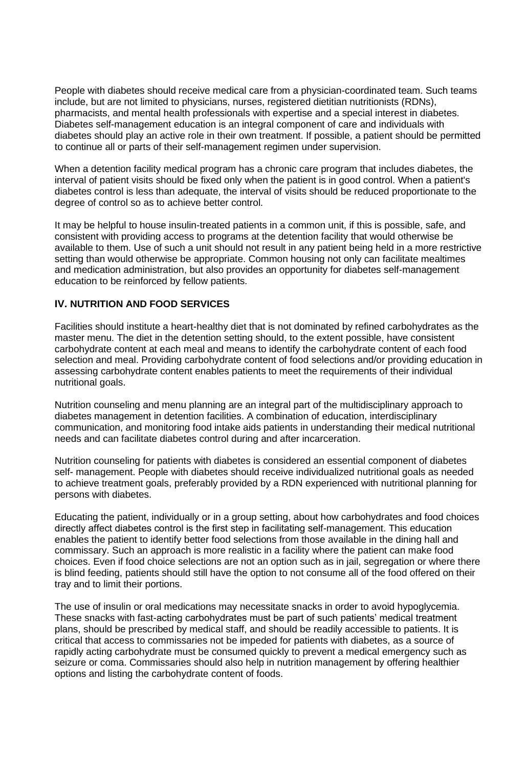People with diabetes should receive medical care from a physician-coordinated team. Such teams include, but are not limited to physicians, nurses, registered dietitian nutritionists (RDNs), pharmacists, and mental health professionals with expertise and a special interest in diabetes. Diabetes self-management education is an integral component of care and individuals with diabetes should play an active role in their own treatment. If possible, a patient should be permitted to continue all or parts of their self-management regimen under supervision.

When a detention facility medical program has a chronic care program that includes diabetes, the interval of patient visits should be fixed only when the patient is in good control. When a patient's diabetes control is less than adequate, the interval of visits should be reduced proportionate to the degree of control so as to achieve better control.

It may be helpful to house insulin-treated patients in a common unit, if this is possible, safe, and consistent with providing access to programs at the detention facility that would otherwise be available to them. Use of such a unit should not result in any patient being held in a more restrictive setting than would otherwise be appropriate. Common housing not only can facilitate mealtimes and medication administration, but also provides an opportunity for diabetes self-management education to be reinforced by fellow patients.

## **IV. NUTRITION AND FOOD SERVICES**

Facilities should institute a heart-healthy diet that is not dominated by refined carbohydrates as the master menu. The diet in the detention setting should, to the extent possible, have consistent carbohydrate content at each meal and means to identify the carbohydrate content of each food selection and meal. Providing carbohydrate content of food selections and/or providing education in assessing carbohydrate content enables patients to meet the requirements of their individual nutritional goals.

Nutrition counseling and menu planning are an integral part of the multidisciplinary approach to diabetes management in detention facilities. A combination of education, interdisciplinary communication, and monitoring food intake aids patients in understanding their medical nutritional needs and can facilitate diabetes control during and after incarceration.

Nutrition counseling for patients with diabetes is considered an essential component of diabetes self- management. People with diabetes should receive individualized nutritional goals as needed to achieve treatment goals, preferably provided by a RDN experienced with nutritional planning for persons with diabetes.

Educating the patient, individually or in a group setting, about how carbohydrates and food choices directly affect diabetes control is the first step in facilitating self-management. This education enables the patient to identify better food selections from those available in the dining hall and commissary. Such an approach is more realistic in a facility where the patient can make food choices. Even if food choice selections are not an option such as in jail, segregation or where there is blind feeding, patients should still have the option to not consume all of the food offered on their tray and to limit their portions.

The use of insulin or oral medications may necessitate snacks in order to avoid hypoglycemia. These snacks with fast-acting carbohydrates must be part of such patients' medical treatment plans, should be prescribed by medical staff, and should be readily accessible to patients. It is critical that access to commissaries not be impeded for patients with diabetes, as a source of rapidly acting carbohydrate must be consumed quickly to prevent a medical emergency such as seizure or coma. Commissaries should also help in nutrition management by offering healthier options and listing the carbohydrate content of foods.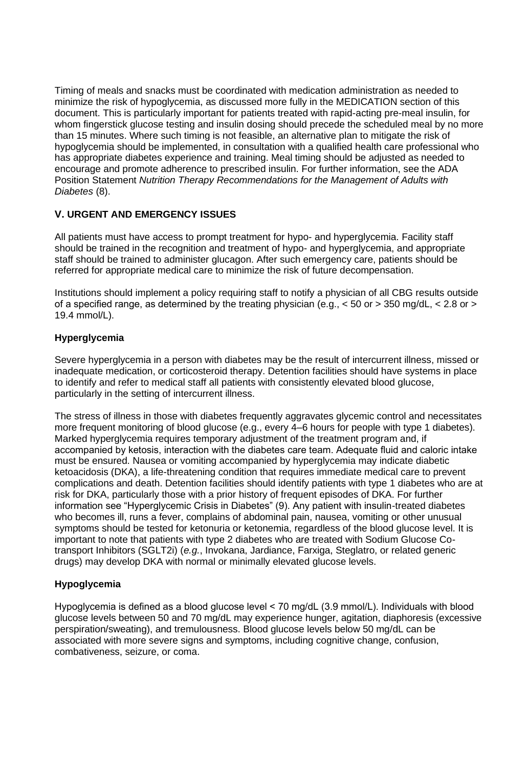Timing of meals and snacks must be coordinated with medication administration as needed to minimize the risk of hypoglycemia, as discussed more fully in the MEDICATION section of this document. This is particularly important for patients treated with rapid-acting pre-meal insulin, for whom fingerstick glucose testing and insulin dosing should precede the scheduled meal by no more than 15 minutes. Where such timing is not feasible, an alternative plan to mitigate the risk of hypoglycemia should be implemented, in consultation with a qualified health care professional who has appropriate diabetes experience and training. Meal timing should be adjusted as needed to encourage and promote adherence to prescribed insulin. For further information, see the ADA Position Statement *Nutrition Therapy Recommendations for the Management of Adults with Diabetes* (8).

# **V. URGENT AND EMERGENCY ISSUES**

All patients must have access to prompt treatment for hypo- and hyperglycemia. Facility staff should be trained in the recognition and treatment of hypo- and hyperglycemia, and appropriate staff should be trained to administer glucagon. After such emergency care, patients should be referred for appropriate medical care to minimize the risk of future decompensation.

Institutions should implement a policy requiring staff to notify a physician of all CBG results outside of a specified range, as determined by the treating physician (e.g.,  $<$  50 or  $>$  350 mg/dL,  $<$  2.8 or  $>$ 19.4 mmol/L).

## **Hyperglycemia**

Severe hyperglycemia in a person with diabetes may be the result of intercurrent illness, missed or inadequate medication, or corticosteroid therapy. Detention facilities should have systems in place to identify and refer to medical staff all patients with consistently elevated blood glucose, particularly in the setting of intercurrent illness.

The stress of illness in those with diabetes frequently aggravates glycemic control and necessitates more frequent monitoring of blood glucose (e.g., every 4–6 hours for people with type 1 diabetes). Marked hyperglycemia requires temporary adjustment of the treatment program and, if accompanied by ketosis, interaction with the diabetes care team. Adequate fluid and caloric intake must be ensured. Nausea or vomiting accompanied by hyperglycemia may indicate diabetic ketoacidosis (DKA), a life-threatening condition that requires immediate medical care to prevent complications and death. Detention facilities should identify patients with type 1 diabetes who are at risk for DKA, particularly those with a prior history of frequent episodes of DKA. For further information see "Hyperglycemic Crisis in Diabetes" (9). Any patient with insulin-treated diabetes who becomes ill, runs a fever, complains of abdominal pain, nausea, vomiting or other unusual symptoms should be tested for ketonuria or ketonemia, regardless of the blood glucose level. It is important to note that patients with type 2 diabetes who are treated with Sodium Glucose Cotransport Inhibitors (SGLT2i) (*e.g.*, Invokana, Jardiance, Farxiga, Steglatro, or related generic drugs) may develop DKA with normal or minimally elevated glucose levels.

## **Hypoglycemia**

Hypoglycemia is defined as a blood glucose level < 70 mg/dL (3.9 mmol/L). Individuals with blood glucose levels between 50 and 70 mg/dL may experience hunger, agitation, diaphoresis (excessive perspiration/sweating), and tremulousness. Blood glucose levels below 50 mg/dL can be associated with more severe signs and symptoms, including cognitive change, confusion, combativeness, seizure, or coma.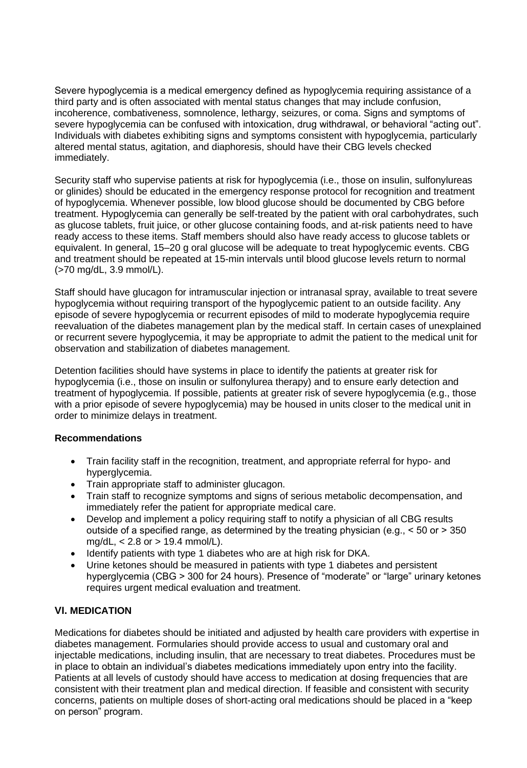Severe hypoglycemia is a medical emergency defined as hypoglycemia requiring assistance of a third party and is often associated with mental status changes that may include confusion, incoherence, combativeness, somnolence, lethargy, seizures, or coma. Signs and symptoms of severe hypoglycemia can be confused with intoxication, drug withdrawal, or behavioral "acting out". Individuals with diabetes exhibiting signs and symptoms consistent with hypoglycemia, particularly altered mental status, agitation, and diaphoresis, should have their CBG levels checked immediately.

Security staff who supervise patients at risk for hypoglycemia (i.e., those on insulin, sulfonylureas or glinides) should be educated in the emergency response protocol for recognition and treatment of hypoglycemia. Whenever possible, low blood glucose should be documented by CBG before treatment. Hypoglycemia can generally be self-treated by the patient with oral carbohydrates, such as glucose tablets, fruit juice, or other glucose containing foods, and at-risk patients need to have ready access to these items. Staff members should also have ready access to glucose tablets or equivalent. In general, 15–20 g oral glucose will be adequate to treat hypoglycemic events. CBG and treatment should be repeated at 15-min intervals until blood glucose levels return to normal (>70 mg/dL, 3.9 mmol/L).

Staff should have glucagon for intramuscular injection or intranasal spray, available to treat severe hypoglycemia without requiring transport of the hypoglycemic patient to an outside facility. Any episode of severe hypoglycemia or recurrent episodes of mild to moderate hypoglycemia require reevaluation of the diabetes management plan by the medical staff. In certain cases of unexplained or recurrent severe hypoglycemia, it may be appropriate to admit the patient to the medical unit for observation and stabilization of diabetes management.

Detention facilities should have systems in place to identify the patients at greater risk for hypoglycemia (i.e., those on insulin or sulfonylurea therapy) and to ensure early detection and treatment of hypoglycemia. If possible, patients at greater risk of severe hypoglycemia (e.g., those with a prior episode of severe hypoglycemia) may be housed in units closer to the medical unit in order to minimize delays in treatment.

## **Recommendations**

- Train facility staff in the recognition, treatment, and appropriate referral for hypo- and hyperglycemia.
- Train appropriate staff to administer glucagon.
- Train staff to recognize symptoms and signs of serious metabolic decompensation, and immediately refer the patient for appropriate medical care.
- Develop and implement a policy requiring staff to notify a physician of all CBG results outside of a specified range, as determined by the treating physician (e.g., < 50 or > 350 mg/dL, < 2.8 or > 19.4 mmol/L).
- Identify patients with type 1 diabetes who are at high risk for DKA.
- Urine ketones should be measured in patients with type 1 diabetes and persistent hyperglycemia (CBG > 300 for 24 hours). Presence of "moderate" or "large" urinary ketones requires urgent medical evaluation and treatment.

## **VI. MEDICATION**

Medications for diabetes should be initiated and adjusted by health care providers with expertise in diabetes management. Formularies should provide access to usual and customary oral and injectable medications, including insulin, that are necessary to treat diabetes. Procedures must be in place to obtain an individual's diabetes medications immediately upon entry into the facility. Patients at all levels of custody should have access to medication at dosing frequencies that are consistent with their treatment plan and medical direction. If feasible and consistent with security concerns, patients on multiple doses of short-acting oral medications should be placed in a "keep on person" program.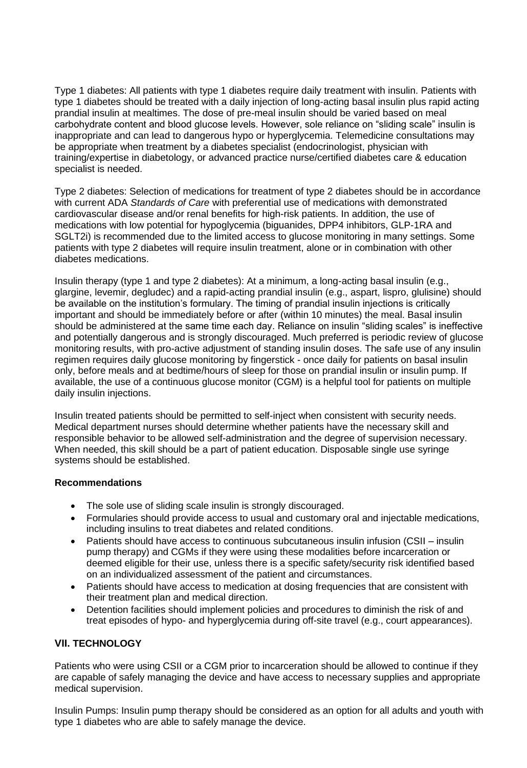Type 1 diabetes: All patients with type 1 diabetes require daily treatment with insulin. Patients with type 1 diabetes should be treated with a daily injection of long-acting basal insulin plus rapid acting prandial insulin at mealtimes. The dose of pre-meal insulin should be varied based on meal carbohydrate content and blood glucose levels. However, sole reliance on "sliding scale" insulin is inappropriate and can lead to dangerous hypo or hyperglycemia. Telemedicine consultations may be appropriate when treatment by a diabetes specialist (endocrinologist, physician with training/expertise in diabetology, or advanced practice nurse/certified diabetes care & education specialist is needed.

Type 2 diabetes: Selection of medications for treatment of type 2 diabetes should be in accordance with current ADA *Standards of Care* with preferential use of medications with demonstrated cardiovascular disease and/or renal benefits for high-risk patients. In addition, the use of medications with low potential for hypoglycemia (biguanides, DPP4 inhibitors, GLP-1RA and SGLT2i) is recommended due to the limited access to glucose monitoring in many settings. Some patients with type 2 diabetes will require insulin treatment, alone or in combination with other diabetes medications.

Insulin therapy (type 1 and type 2 diabetes): At a minimum, a long-acting basal insulin (e.g., glargine, levemir, degludec) and a rapid-acting prandial insulin (e.g., aspart, lispro, glulisine) should be available on the institution's formulary. The timing of prandial insulin injections is critically important and should be immediately before or after (within 10 minutes) the meal. Basal insulin should be administered at the same time each day. Reliance on insulin "sliding scales" is ineffective and potentially dangerous and is strongly discouraged. Much preferred is periodic review of glucose monitoring results, with pro-active adjustment of standing insulin doses. The safe use of any insulin regimen requires daily glucose monitoring by fingerstick - once daily for patients on basal insulin only, before meals and at bedtime/hours of sleep for those on prandial insulin or insulin pump. If available, the use of a continuous glucose monitor (CGM) is a helpful tool for patients on multiple daily insulin injections.

Insulin treated patients should be permitted to self-inject when consistent with security needs. Medical department nurses should determine whether patients have the necessary skill and responsible behavior to be allowed self-administration and the degree of supervision necessary. When needed, this skill should be a part of patient education. Disposable single use syringe systems should be established.

## **Recommendations**

- The sole use of sliding scale insulin is strongly discouraged.
- Formularies should provide access to usual and customary oral and injectable medications, including insulins to treat diabetes and related conditions.
- Patients should have access to continuous subcutaneous insulin infusion (CSII insulin pump therapy) and CGMs if they were using these modalities before incarceration or deemed eligible for their use, unless there is a specific safety/security risk identified based on an individualized assessment of the patient and circumstances.
- Patients should have access to medication at dosing frequencies that are consistent with their treatment plan and medical direction.
- Detention facilities should implement policies and procedures to diminish the risk of and treat episodes of hypo- and hyperglycemia during off-site travel (e.g., court appearances).

## **VII. TECHNOLOGY**

Patients who were using CSII or a CGM prior to incarceration should be allowed to continue if they are capable of safely managing the device and have access to necessary supplies and appropriate medical supervision.

Insulin Pumps: Insulin pump therapy should be considered as an option for all adults and youth with type 1 diabetes who are able to safely manage the device.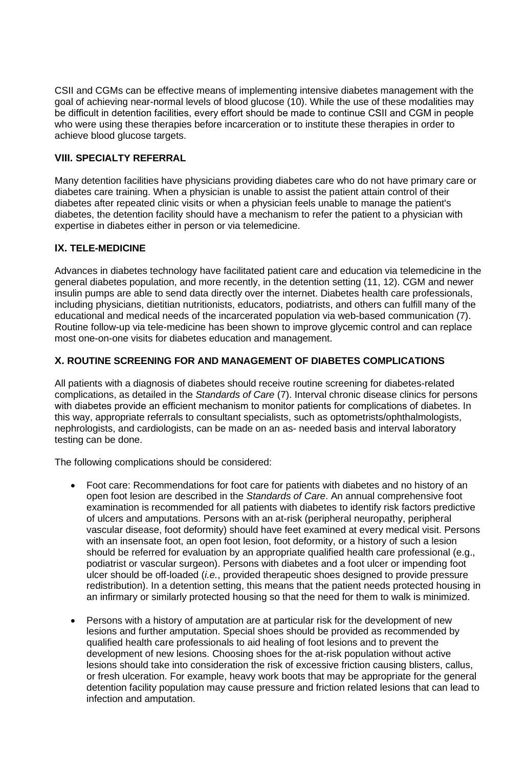CSII and CGMs can be effective means of implementing intensive diabetes management with the goal of achieving near-normal levels of blood glucose (10). While the use of these modalities may be difficult in detention facilities, every effort should be made to continue CSII and CGM in people who were using these therapies before incarceration or to institute these therapies in order to achieve blood glucose targets.

## **VIII. SPECIALTY REFERRAL**

Many detention facilities have physicians providing diabetes care who do not have primary care or diabetes care training. When a physician is unable to assist the patient attain control of their diabetes after repeated clinic visits or when a physician feels unable to manage the patient's diabetes, the detention facility should have a mechanism to refer the patient to a physician with expertise in diabetes either in person or via telemedicine.

## **IX. TELE-MEDICINE**

Advances in diabetes technology have facilitated patient care and education via telemedicine in the general diabetes population, and more recently, in the detention setting (11, 12). CGM and newer insulin pumps are able to send data directly over the internet. Diabetes health care professionals, including physicians, dietitian nutritionists, educators, podiatrists, and others can fulfill many of the educational and medical needs of the incarcerated population via web-based communication (7). Routine follow-up via tele-medicine has been shown to improve glycemic control and can replace most one-on-one visits for diabetes education and management.

# **X. ROUTINE SCREENING FOR AND MANAGEMENT OF DIABETES COMPLICATIONS**

All patients with a diagnosis of diabetes should receive routine screening for diabetes-related complications, as detailed in the *Standards of Care* (7). Interval chronic disease clinics for persons with diabetes provide an efficient mechanism to monitor patients for complications of diabetes. In this way, appropriate referrals to consultant specialists, such as optometrists/ophthalmologists, nephrologists, and cardiologists, can be made on an as- needed basis and interval laboratory testing can be done.

The following complications should be considered:

- Foot care: Recommendations for foot care for patients with diabetes and no history of an open foot lesion are described in the *Standards of Care*. An annual comprehensive foot examination is recommended for all patients with diabetes to identify risk factors predictive of ulcers and amputations. Persons with an at-risk (peripheral neuropathy, peripheral vascular disease, foot deformity) should have feet examined at every medical visit. Persons with an insensate foot, an open foot lesion, foot deformity, or a history of such a lesion should be referred for evaluation by an appropriate qualified health care professional (e.g., podiatrist or vascular surgeon). Persons with diabetes and a foot ulcer or impending foot ulcer should be off-loaded (*i.e.*, provided therapeutic shoes designed to provide pressure redistribution). In a detention setting, this means that the patient needs protected housing in an infirmary or similarly protected housing so that the need for them to walk is minimized.
- Persons with a history of amputation are at particular risk for the development of new lesions and further amputation. Special shoes should be provided as recommended by qualified health care professionals to aid healing of foot lesions and to prevent the development of new lesions. Choosing shoes for the at-risk population without active lesions should take into consideration the risk of excessive friction causing blisters, callus, or fresh ulceration. For example, heavy work boots that may be appropriate for the general detention facility population may cause pressure and friction related lesions that can lead to infection and amputation.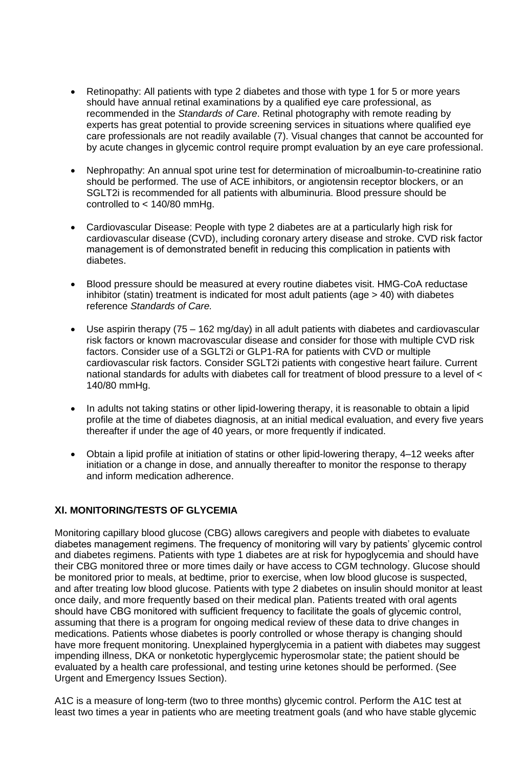- Retinopathy: All patients with type 2 diabetes and those with type 1 for 5 or more years should have annual retinal examinations by a qualified eye care professional, as recommended in the *Standards of Care*. Retinal photography with remote reading by experts has great potential to provide screening services in situations where qualified eye care professionals are not readily available (7). Visual changes that cannot be accounted for by acute changes in glycemic control require prompt evaluation by an eye care professional.
- Nephropathy: An annual spot urine test for determination of microalbumin-to-creatinine ratio should be performed. The use of ACE inhibitors, or angiotensin receptor blockers, or an SGLT2i is recommended for all patients with albuminuria. Blood pressure should be controlled to < 140/80 mmHg.
- Cardiovascular Disease: People with type 2 diabetes are at a particularly high risk for cardiovascular disease (CVD), including coronary artery disease and stroke. CVD risk factor management is of demonstrated benefit in reducing this complication in patients with diabetes.
- Blood pressure should be measured at every routine diabetes visit. HMG-CoA reductase inhibitor (statin) treatment is indicated for most adult patients (age > 40) with diabetes reference *Standards of Care.*
- Use aspirin therapy  $(75 162 \text{ mg/day})$  in all adult patients with diabetes and cardiovascular risk factors or known macrovascular disease and consider for those with multiple CVD risk factors. Consider use of a SGLT2i or GLP1-RA for patients with CVD or multiple cardiovascular risk factors. Consider SGLT2i patients with congestive heart failure. Current national standards for adults with diabetes call for treatment of blood pressure to a level of < 140/80 mmHg.
- In adults not taking statins or other lipid-lowering therapy, it is reasonable to obtain a lipid profile at the time of diabetes diagnosis, at an initial medical evaluation, and every five years thereafter if under the age of 40 years, or more frequently if indicated.
- Obtain a lipid profile at initiation of statins or other lipid-lowering therapy, 4–12 weeks after initiation or a change in dose, and annually thereafter to monitor the response to therapy and inform medication adherence.

## **XI. MONITORING/TESTS OF GLYCEMIA**

Monitoring capillary blood glucose (CBG) allows caregivers and people with diabetes to evaluate diabetes management regimens. The frequency of monitoring will vary by patients' glycemic control and diabetes regimens. Patients with type 1 diabetes are at risk for hypoglycemia and should have their CBG monitored three or more times daily or have access to CGM technology. Glucose should be monitored prior to meals, at bedtime, prior to exercise, when low blood glucose is suspected, and after treating low blood glucose. Patients with type 2 diabetes on insulin should monitor at least once daily, and more frequently based on their medical plan. Patients treated with oral agents should have CBG monitored with sufficient frequency to facilitate the goals of glycemic control, assuming that there is a program for ongoing medical review of these data to drive changes in medications. Patients whose diabetes is poorly controlled or whose therapy is changing should have more frequent monitoring. Unexplained hyperglycemia in a patient with diabetes may suggest impending illness, DKA or nonketotic hyperglycemic hyperosmolar state; the patient should be evaluated by a health care professional, and testing urine ketones should be performed. (See Urgent and Emergency Issues Section).

A1C is a measure of long-term (two to three months) glycemic control. Perform the A1C test at least two times a year in patients who are meeting treatment goals (and who have stable glycemic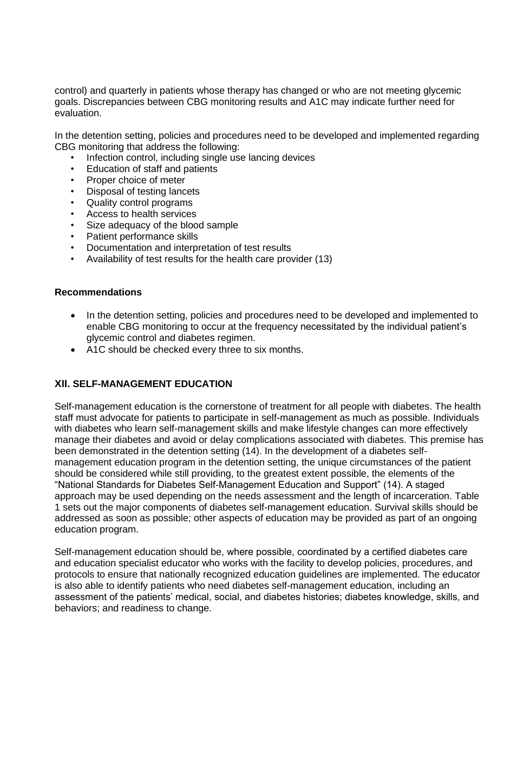control) and quarterly in patients whose therapy has changed or who are not meeting glycemic goals. Discrepancies between CBG monitoring results and A1C may indicate further need for evaluation.

In the detention setting, policies and procedures need to be developed and implemented regarding CBG monitoring that address the following:

- Infection control, including single use lancing devices
- Education of staff and patients
- Proper choice of meter
- Disposal of testing lancets
- Quality control programs
- Access to health services
- Size adequacy of the blood sample
- Patient performance skills
- Documentation and interpretation of test results
- Availability of test results for the health care provider (13)

#### **Recommendations**

- In the detention setting, policies and procedures need to be developed and implemented to enable CBG monitoring to occur at the frequency necessitated by the individual patient's glycemic control and diabetes regimen.
- A1C should be checked every three to six months.

### **XII. SELF-MANAGEMENT EDUCATION**

Self-management education is the cornerstone of treatment for all people with diabetes. The health staff must advocate for patients to participate in self-management as much as possible. Individuals with diabetes who learn self-management skills and make lifestyle changes can more effectively manage their diabetes and avoid or delay complications associated with diabetes. This premise has been demonstrated in the detention setting (14). In the development of a diabetes selfmanagement education program in the detention setting, the unique circumstances of the patient should be considered while still providing, to the greatest extent possible, the elements of the "National Standards for Diabetes Self-Management Education and Support" (14). A staged approach may be used depending on the needs assessment and the length of incarceration. Table 1 sets out the major components of diabetes self-management education. Survival skills should be addressed as soon as possible; other aspects of education may be provided as part of an ongoing education program.

Self-management education should be, where possible, coordinated by a certified diabetes care and education specialist educator who works with the facility to develop policies, procedures, and protocols to ensure that nationally recognized education guidelines are implemented. The educator is also able to identify patients who need diabetes self-management education, including an assessment of the patients' medical, social, and diabetes histories; diabetes knowledge, skills, and behaviors; and readiness to change.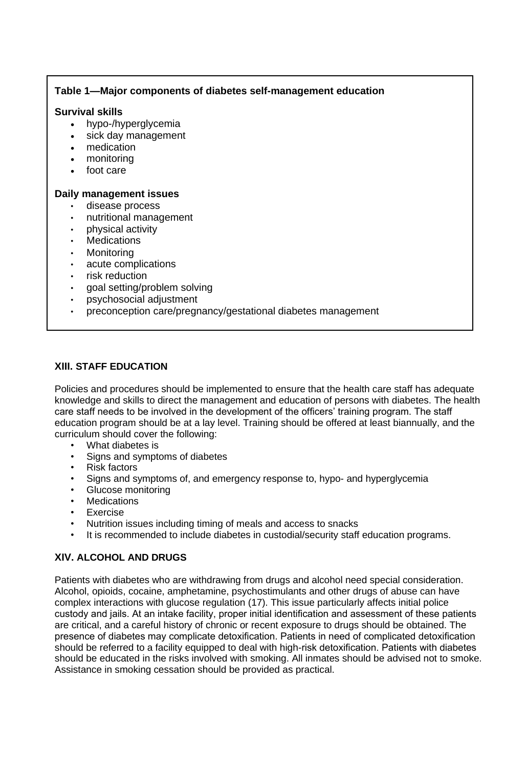## **Table 1—Major components of diabetes self-management education**

#### **Survival skills**

- hypo-/hyperglycemia
- sick day management
- medication
- monitoring
- foot care

## **Daily management issues**

- disease process
- nutritional management
- physical activity
- **Medications**
- **Monitoring**
- acute complications
- risk reduction
- goal setting/problem solving
- psychosocial adjustment
- preconception care/pregnancy/gestational diabetes management

## **XIII. STAFF EDUCATION**

I

Policies and procedures should be implemented to ensure that the health care staff has adequate knowledge and skills to direct the management and education of persons with diabetes. The health care staff needs to be involved in the development of the officers' training program. The staff education program should be at a lay level. Training should be offered at least biannually, and the curriculum should cover the following:

- What diabetes is
- Signs and symptoms of diabetes
- Risk factors
- Signs and symptoms of, and emergency response to, hypo- and hyperglycemia
- Glucose monitoring
- **Medications**
- **Exercise**
- Nutrition issues including timing of meals and access to snacks
- It is recommended to include diabetes in custodial/security staff education programs.

# **XIV. ALCOHOL AND DRUGS**

Patients with diabetes who are withdrawing from drugs and alcohol need special consideration. Alcohol, opioids, cocaine, amphetamine, psychostimulants and other drugs of abuse can have complex interactions with glucose regulation (17). This issue particularly affects initial police custody and jails. At an intake facility, proper initial identification and assessment of these patients are critical, and a careful history of chronic or recent exposure to drugs should be obtained. The presence of diabetes may complicate detoxification. Patients in need of complicated detoxification should be referred to a facility equipped to deal with high-risk detoxification. Patients with diabetes should be educated in the risks involved with smoking. All inmates should be advised not to smoke. Assistance in smoking cessation should be provided as practical.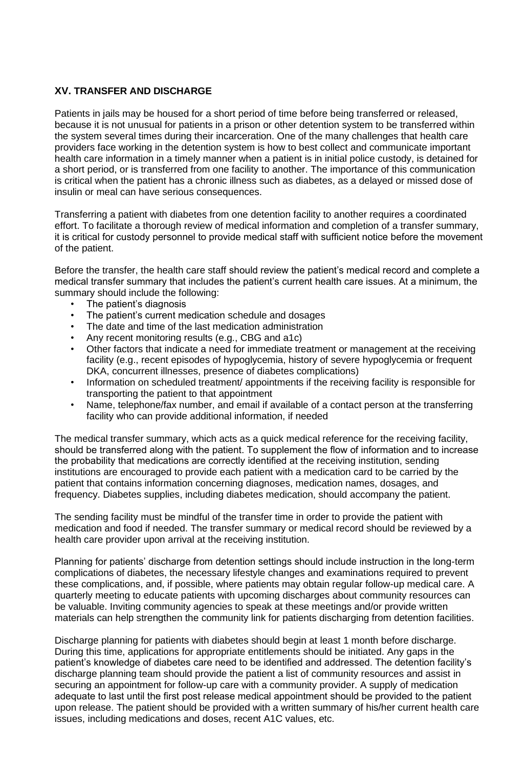## **XV. TRANSFER AND DISCHARGE**

Patients in jails may be housed for a short period of time before being transferred or released, because it is not unusual for patients in a prison or other detention system to be transferred within the system several times during their incarceration. One of the many challenges that health care providers face working in the detention system is how to best collect and communicate important health care information in a timely manner when a patient is in initial police custody, is detained for a short period, or is transferred from one facility to another. The importance of this communication is critical when the patient has a chronic illness such as diabetes, as a delayed or missed dose of insulin or meal can have serious consequences.

Transferring a patient with diabetes from one detention facility to another requires a coordinated effort. To facilitate a thorough review of medical information and completion of a transfer summary, it is critical for custody personnel to provide medical staff with sufficient notice before the movement of the patient.

Before the transfer, the health care staff should review the patient's medical record and complete a medical transfer summary that includes the patient's current health care issues. At a minimum, the summary should include the following:

- The patient's diagnosis
- The patient's current medication schedule and dosages
- The date and time of the last medication administration
- Any recent monitoring results (e.g., CBG and a1c)
- Other factors that indicate a need for immediate treatment or management at the receiving facility (e.g., recent episodes of hypoglycemia, history of severe hypoglycemia or frequent DKA, concurrent illnesses, presence of diabetes complications)
- Information on scheduled treatment/ appointments if the receiving facility is responsible for transporting the patient to that appointment
- Name, telephone/fax number, and email if available of a contact person at the transferring facility who can provide additional information, if needed

The medical transfer summary, which acts as a quick medical reference for the receiving facility, should be transferred along with the patient. To supplement the flow of information and to increase the probability that medications are correctly identified at the receiving institution, sending institutions are encouraged to provide each patient with a medication card to be carried by the patient that contains information concerning diagnoses, medication names, dosages, and frequency. Diabetes supplies, including diabetes medication, should accompany the patient.

The sending facility must be mindful of the transfer time in order to provide the patient with medication and food if needed. The transfer summary or medical record should be reviewed by a health care provider upon arrival at the receiving institution.

Planning for patients' discharge from detention settings should include instruction in the long-term complications of diabetes, the necessary lifestyle changes and examinations required to prevent these complications, and, if possible, where patients may obtain regular follow-up medical care. A quarterly meeting to educate patients with upcoming discharges about community resources can be valuable. Inviting community agencies to speak at these meetings and/or provide written materials can help strengthen the community link for patients discharging from detention facilities.

Discharge planning for patients with diabetes should begin at least 1 month before discharge. During this time, applications for appropriate entitlements should be initiated. Any gaps in the patient's knowledge of diabetes care need to be identified and addressed. The detention facility's discharge planning team should provide the patient a list of community resources and assist in securing an appointment for follow-up care with a community provider. A supply of medication adequate to last until the first post release medical appointment should be provided to the patient upon release. The patient should be provided with a written summary of his/her current health care issues, including medications and doses, recent A1C values, etc.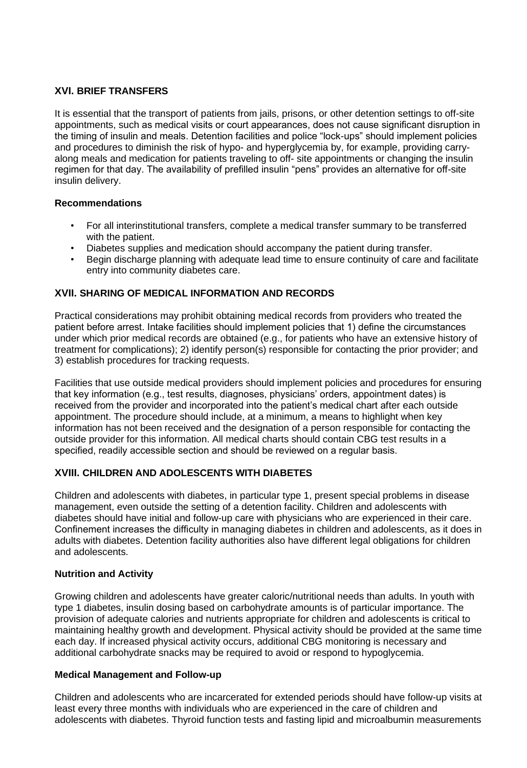## **XVI. BRIEF TRANSFERS**

It is essential that the transport of patients from jails, prisons, or other detention settings to off-site appointments, such as medical visits or court appearances, does not cause significant disruption in the timing of insulin and meals. Detention facilities and police "lock-ups" should implement policies and procedures to diminish the risk of hypo- and hyperglycemia by, for example, providing carryalong meals and medication for patients traveling to off- site appointments or changing the insulin regimen for that day. The availability of prefilled insulin "pens" provides an alternative for off-site insulin delivery.

## **Recommendations**

- For all interinstitutional transfers, complete a medical transfer summary to be transferred with the patient.
- Diabetes supplies and medication should accompany the patient during transfer.
- Begin discharge planning with adequate lead time to ensure continuity of care and facilitate entry into community diabetes care.

#### **XVII. SHARING OF MEDICAL INFORMATION AND RECORDS**

Practical considerations may prohibit obtaining medical records from providers who treated the patient before arrest. Intake facilities should implement policies that 1) define the circumstances under which prior medical records are obtained (e.g., for patients who have an extensive history of treatment for complications); 2) identify person(s) responsible for contacting the prior provider; and 3) establish procedures for tracking requests.

Facilities that use outside medical providers should implement policies and procedures for ensuring that key information (e.g., test results, diagnoses, physicians' orders, appointment dates) is received from the provider and incorporated into the patient's medical chart after each outside appointment. The procedure should include, at a minimum, a means to highlight when key information has not been received and the designation of a person responsible for contacting the outside provider for this information. All medical charts should contain CBG test results in a specified, readily accessible section and should be reviewed on a regular basis.

## **XVIII. CHILDREN AND ADOLESCENTS WITH DIABETES**

Children and adolescents with diabetes, in particular type 1, present special problems in disease management, even outside the setting of a detention facility. Children and adolescents with diabetes should have initial and follow-up care with physicians who are experienced in their care. Confinement increases the difficulty in managing diabetes in children and adolescents, as it does in adults with diabetes. Detention facility authorities also have different legal obligations for children and adolescents.

#### **Nutrition and Activity**

Growing children and adolescents have greater caloric/nutritional needs than adults. In youth with type 1 diabetes, insulin dosing based on carbohydrate amounts is of particular importance. The provision of adequate calories and nutrients appropriate for children and adolescents is critical to maintaining healthy growth and development. Physical activity should be provided at the same time each day. If increased physical activity occurs, additional CBG monitoring is necessary and additional carbohydrate snacks may be required to avoid or respond to hypoglycemia.

#### **Medical Management and Follow-up**

Children and adolescents who are incarcerated for extended periods should have follow-up visits at least every three months with individuals who are experienced in the care of children and adolescents with diabetes. Thyroid function tests and fasting lipid and microalbumin measurements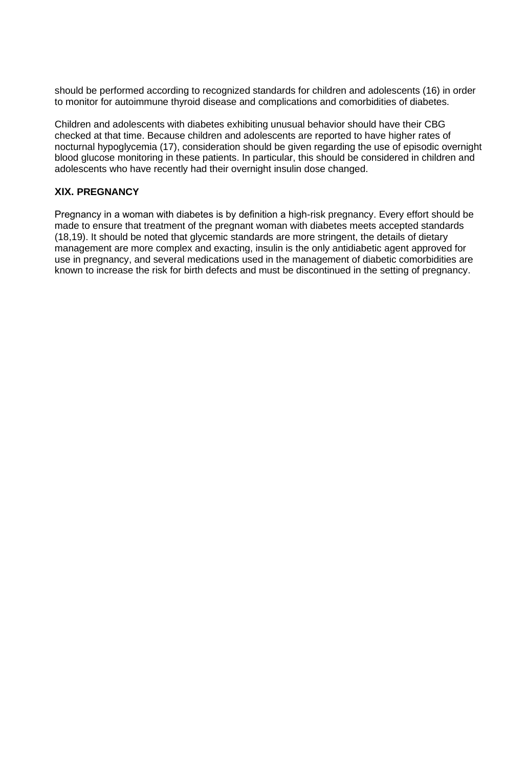should be performed according to recognized standards for children and adolescents (16) in order to monitor for autoimmune thyroid disease and complications and comorbidities of diabetes.

Children and adolescents with diabetes exhibiting unusual behavior should have their CBG checked at that time. Because children and adolescents are reported to have higher rates of nocturnal hypoglycemia (17), consideration should be given regarding the use of episodic overnight blood glucose monitoring in these patients. In particular, this should be considered in children and adolescents who have recently had their overnight insulin dose changed.

### **XIX. PREGNANCY**

Pregnancy in a woman with diabetes is by definition a high-risk pregnancy. Every effort should be made to ensure that treatment of the pregnant woman with diabetes meets accepted standards (18,19). It should be noted that glycemic standards are more stringent, the details of dietary management are more complex and exacting, insulin is the only antidiabetic agent approved for use in pregnancy, and several medications used in the management of diabetic comorbidities are known to increase the risk for birth defects and must be discontinued in the setting of pregnancy.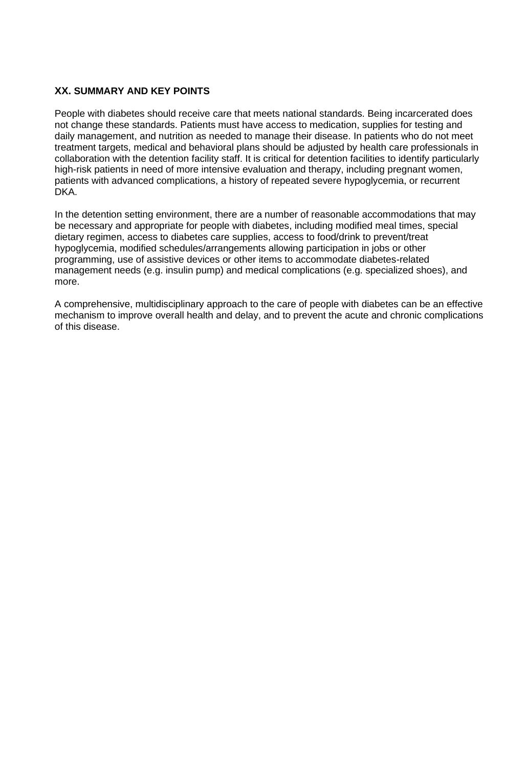## **XX. SUMMARY AND KEY POINTS**

People with diabetes should receive care that meets national standards. Being incarcerated does not change these standards. Patients must have access to medication, supplies for testing and daily management, and nutrition as needed to manage their disease. In patients who do not meet treatment targets, medical and behavioral plans should be adjusted by health care professionals in collaboration with the detention facility staff. It is critical for detention facilities to identify particularly high-risk patients in need of more intensive evaluation and therapy, including pregnant women, patients with advanced complications, a history of repeated severe hypoglycemia, or recurrent DKA.

In the detention setting environment, there are a number of reasonable accommodations that may be necessary and appropriate for people with diabetes, including modified meal times, special dietary regimen, access to diabetes care supplies, access to food/drink to prevent/treat hypoglycemia, modified schedules/arrangements allowing participation in jobs or other programming, use of assistive devices or other items to accommodate diabetes-related management needs (e.g. insulin pump) and medical complications (e.g. specialized shoes), and more.

A comprehensive, multidisciplinary approach to the care of people with diabetes can be an effective mechanism to improve overall health and delay, and to prevent the acute and chronic complications of this disease.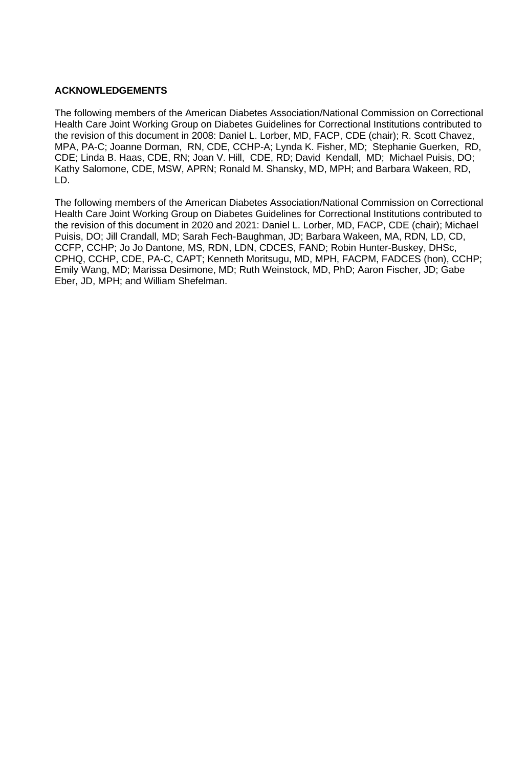#### **ACKNOWLEDGEMENTS**

The following members of the American Diabetes Association/National Commission on Correctional Health Care Joint Working Group on Diabetes Guidelines for Correctional Institutions contributed to the revision of this document in 2008: Daniel L. Lorber, MD, FACP, CDE (chair); R. Scott Chavez, MPA, PA-C; Joanne Dorman, RN, CDE, CCHP-A; Lynda K. Fisher, MD; Stephanie Guerken, RD, CDE; Linda B. Haas, CDE, RN; Joan V. Hill, CDE, RD; David Kendall, MD; Michael Puisis, DO; Kathy Salomone, CDE, MSW, APRN; Ronald M. Shansky, MD, MPH; and Barbara Wakeen, RD, LD.

The following members of the American Diabetes Association/National Commission on Correctional Health Care Joint Working Group on Diabetes Guidelines for Correctional Institutions contributed to the revision of this document in 2020 and 2021: Daniel L. Lorber, MD, FACP, CDE (chair); Michael Puisis, DO; Jill Crandall, MD; Sarah Fech-Baughman, JD; Barbara Wakeen, MA, RDN, LD, CD, CCFP, CCHP; Jo Jo Dantone, MS, RDN, LDN, CDCES, FAND; Robin Hunter-Buskey, DHSc, CPHQ, CCHP, CDE, PA-C, CAPT; Kenneth Moritsugu, MD, MPH, FACPM, FADCES (hon), CCHP; Emily Wang, MD; Marissa Desimone, MD; Ruth Weinstock, MD, PhD; Aaron Fischer, JD; Gabe Eber, JD, MPH; and William Shefelman.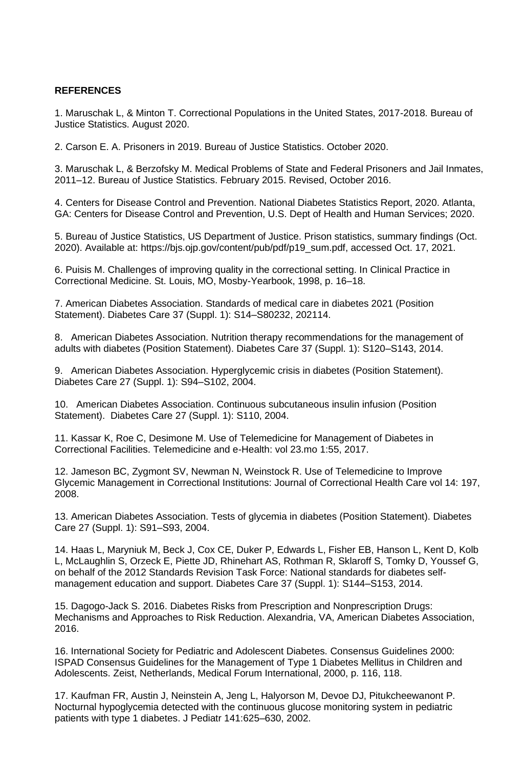## **REFERENCES**

1. Maruschak L, & Minton T. Correctional Populations in the United States, 2017-2018. Bureau of Justice Statistics. August 2020.

2. Carson E. A. Prisoners in 2019. Bureau of Justice Statistics. October 2020.

3. Maruschak L, & Berzofsky M. Medical Problems of State and Federal Prisoners and Jail Inmates, 2011–12. Bureau of Justice Statistics. February 2015. Revised, October 2016.

4. Centers for Disease Control and Prevention. National Diabetes Statistics Report, 2020. Atlanta, GA: Centers for Disease Control and Prevention, U.S. Dept of Health and Human Services; 2020.

5. Bureau of Justice Statistics, US Department of Justice. Prison statistics, summary findings (Oct. 2020). Available at: https://bjs.ojp.gov/content/pub/pdf/p19\_sum.pdf, accessed Oct. 17, 2021.

6. Puisis M. Challenges of improving quality in the correctional setting. In Clinical Practice in Correctional Medicine. St. Louis, MO, Mosby-Yearbook, 1998, p. 16–18.

7. American Diabetes Association. Standards of medical care in diabetes 2021 (Position Statement). Diabetes Care 37 (Suppl. 1): S14–S80232, 202114.

8. American Diabetes Association. Nutrition therapy recommendations for the management of adults with diabetes (Position Statement). Diabetes Care 37 (Suppl. 1): S120–S143, 2014.

9. American Diabetes Association. Hyperglycemic crisis in diabetes (Position Statement). Diabetes Care 27 (Suppl. 1): S94–S102, 2004.

10. American Diabetes Association. Continuous subcutaneous insulin infusion (Position Statement). Diabetes Care 27 (Suppl. 1): S110, 2004.

11. Kassar K, Roe C, Desimone M. Use of Telemedicine for Management of Diabetes in Correctional Facilities. Telemedicine and e-Health: vol 23.mo 1:55, 2017.

12. Jameson BC, Zygmont SV, Newman N, Weinstock R. Use of Telemedicine to Improve Glycemic Management in Correctional Institutions: Journal of Correctional Health Care vol 14: 197, 2008.

13. American Diabetes Association. Tests of glycemia in diabetes (Position Statement). Diabetes Care 27 (Suppl. 1): S91–S93, 2004.

14. Haas L, Maryniuk M, Beck J, Cox CE, Duker P, Edwards L, Fisher EB, Hanson L, Kent D, Kolb L, McLaughlin S, Orzeck E, Piette JD, Rhinehart AS, Rothman R, Sklaroff S, Tomky D, Youssef G, on behalf of the 2012 Standards Revision Task Force: National standards for diabetes selfmanagement education and support. Diabetes Care 37 (Suppl. 1): S144–S153, 2014.

15. Dagogo-Jack S. 2016. Diabetes Risks from Prescription and Nonprescription Drugs: Mechanisms and Approaches to Risk Reduction. Alexandria, VA, American Diabetes Association, 2016.

16. International Society for Pediatric and Adolescent Diabetes. Consensus Guidelines 2000: ISPAD Consensus Guidelines for the Management of Type 1 Diabetes Mellitus in Children and Adolescents. Zeist, Netherlands, Medical Forum International, 2000, p. 116, 118.

17. Kaufman FR, Austin J, Neinstein A, Jeng L, Halyorson M, Devoe DJ, Pitukcheewanont P. Nocturnal hypoglycemia detected with the continuous glucose monitoring system in pediatric patients with type 1 diabetes. J Pediatr 141:625–630, 2002.